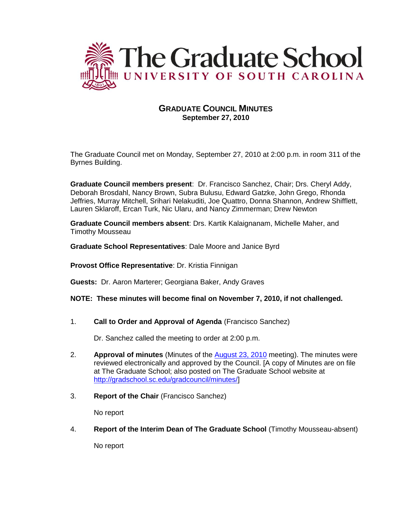

# **GRADUATE COUNCIL MINUTES September 27, 2010**

The Graduate Council met on Monday, September 27, 2010 at 2:00 p.m. in room 311 of the Byrnes Building.

**Graduate Council members present**: Dr. Francisco Sanchez, Chair; Drs. Cheryl Addy, Deborah Brosdahl, Nancy Brown, Subra Bulusu, Edward Gatzke, John Grego, Rhonda Jeffries, Murray Mitchell, Srihari Nelakuditi, Joe Quattro, Donna Shannon, Andrew Shifflett, Lauren Sklaroff, Ercan Turk, Nic Ularu, and Nancy Zimmerman; Drew Newton

**Graduate Council members absent**: Drs. Kartik Kalaignanam, Michelle Maher, and Timothy Mousseau

**Graduate School Representatives**: Dale Moore and Janice Byrd

**Provost Office Representative**: Dr. Kristia Finnigan

**Guests:** Dr. Aaron Marterer; Georgiana Baker, Andy Graves

**NOTE: These minutes will become final on November 7, 2010, if not challenged.**

1. **Call to Order and Approval of Agenda** (Francisco Sanchez)

Dr. Sanchez called the meeting to order at 2:00 p.m.

- 2. **Approval of minutes** (Minutes of the [August 23, 2010](http://gradschool.sc.edu/gradcouncil/minutes/GCMinutes%20082310.pdf) meeting). The minutes were reviewed electronically and approved by the Council. [A copy of Minutes are on file at The Graduate School; also posted on The Graduate School website at [http://gradschool.sc.edu/gradcouncil/minutes/\]](http://gradschool.sc.edu/gradcouncil/minutes/)
- 3. **Report of the Chair** (Francisco Sanchez)

No report

4. **Report of the Interim Dean of The Graduate School** (Timothy Mousseau-absent)

No report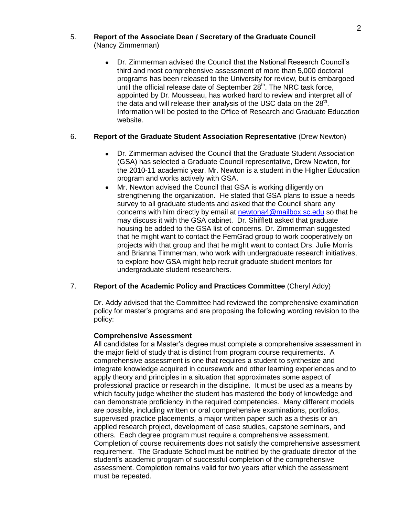# 5. **Report of the Associate Dean / Secretary of the Graduate Council**  (Nancy Zimmerman)

Dr. Zimmerman advised the Council that the National Research Council's  $\bullet$ third and most comprehensive assessment of more than 5,000 doctoral programs has been released to the University for review, but is embargoed until the official release date of September 28<sup>th</sup>. The NRC task force, appointed by Dr. Mousseau, has worked hard to review and interpret all of the data and will release their analysis of the USC data on the 28<sup>th</sup>. Information will be posted to the Office of Research and Graduate Education website.

# 6. **Report of the Graduate Student Association Representative** (Drew Newton)

- Dr. Zimmerman advised the Council that the Graduate Student Association (GSA) has selected a Graduate Council representative, Drew Newton, for the 2010-11 academic year. Mr. Newton is a student in the Higher Education program and works actively with GSA.
- Mr. Newton advised the Council that GSA is working diligently on strengthening the organization. He stated that GSA plans to issue a needs survey to all graduate students and asked that the Council share any concerns with him directly by email at [newtona4@mailbox.sc.edu](mailto:newtona4@mailbox.sc.edu) so that he may discuss it with the GSA cabinet. Dr. Shifflett asked that graduate housing be added to the GSA list of concerns. Dr. Zimmerman suggested that he might want to contact the FemGrad group to work cooperatively on projects with that group and that he might want to contact Drs. Julie Morris and Brianna Timmerman, who work with undergraduate research initiatives, to explore how GSA might help recruit graduate student mentors for undergraduate student researchers.

# 7. **Report of the Academic Policy and Practices Committee** (Cheryl Addy)

Dr. Addy advised that the Committee had reviewed the comprehensive examination policy for master's programs and are proposing the following wording revision to the policy:

### **Comprehensive Assessment**

All candidates for a Master's degree must complete a comprehensive assessment in the major field of study that is distinct from program course requirements. A comprehensive assessment is one that requires a student to synthesize and integrate knowledge acquired in coursework and other learning experiences and to apply theory and principles in a situation that approximates some aspect of professional practice or research in the discipline. It must be used as a means by which faculty judge whether the student has mastered the body of knowledge and can demonstrate proficiency in the required competencies. Many different models are possible, including written or oral comprehensive examinations, portfolios, supervised practice placements, a major written paper such as a thesis or an applied research project, development of case studies, capstone seminars, and others. Each degree program must require a comprehensive assessment. Completion of course requirements does not satisfy the comprehensive assessment requirement. The Graduate School must be notified by the graduate director of the student's academic program of successful completion of the comprehensive assessment. Completion remains valid for two years after which the assessment must be repeated.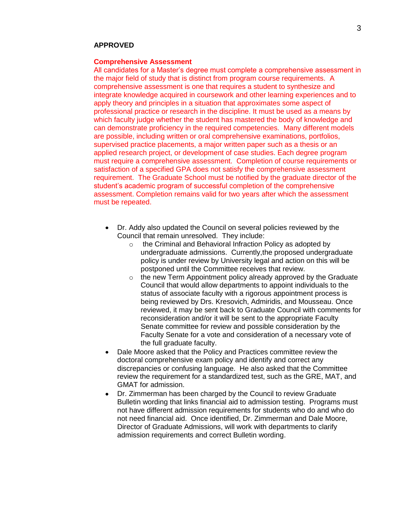### **APPROVED**

#### **Comprehensive Assessment**

All candidates for a Master's degree must complete a comprehensive assessment in the major field of study that is distinct from program course requirements. A comprehensive assessment is one that requires a student to synthesize and integrate knowledge acquired in coursework and other learning experiences and to apply theory and principles in a situation that approximates some aspect of professional practice or research in the discipline. It must be used as a means by which faculty judge whether the student has mastered the body of knowledge and can demonstrate proficiency in the required competencies. Many different models are possible, including written or oral comprehensive examinations, portfolios, supervised practice placements, a major written paper such as a thesis or an applied research project, or development of case studies. Each degree program must require a comprehensive assessment. Completion of course requirements or satisfaction of a specified GPA does not satisfy the comprehensive assessment requirement. The Graduate School must be notified by the graduate director of the student's academic program of successful completion of the comprehensive assessment. Completion remains valid for two years after which the assessment must be repeated.

- Dr. Addy also updated the Council on several policies reviewed by the Council that remain unresolved. They include:
	- o the Criminal and Behavioral Infraction Policy as adopted by undergraduate admissions. Currently,the proposed undergraduate policy is under review by University legal and action on this will be postponed until the Committee receives that review.
	- $\circ$  the new Term Appointment policy already approved by the Graduate Council that would allow departments to appoint individuals to the status of associate faculty with a rigorous appointment process is being reviewed by Drs. Kresovich, Admiridis, and Mousseau. Once reviewed, it may be sent back to Graduate Council with comments for reconsideration and/or it will be sent to the appropriate Faculty Senate committee for review and possible consideration by the Faculty Senate for a vote and consideration of a necessary vote of the full graduate faculty.
- Dale Moore asked that the Policy and Practices committee review the doctoral comprehensive exam policy and identify and correct any discrepancies or confusing language. He also asked that the Committee review the requirement for a standardized test, such as the GRE, MAT, and GMAT for admission.
- Dr. Zimmerman has been charged by the Council to review Graduate Bulletin wording that links financial aid to admission testing. Programs must not have different admission requirements for students who do and who do not need financial aid. Once identified, Dr. Zimmerman and Dale Moore, Director of Graduate Admissions, will work with departments to clarify admission requirements and correct Bulletin wording.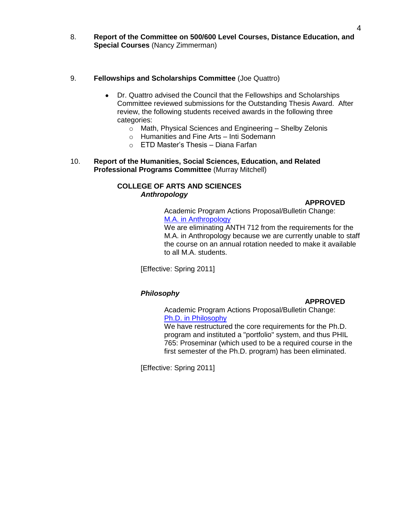8. **Report of the Committee on 500/600 Level Courses, Distance Education, and Special Courses** (Nancy Zimmerman)

### 9. **Fellowships and Scholarships Committee** (Joe Quattro)

- Dr. Quattro advised the Council that the Fellowships and Scholarships Committee reviewed submissions for the Outstanding Thesis Award. After review, the following students received awards in the following three categories:
	- o Math, Physical Sciences and Engineering Shelby Zelonis
	- o Humanities and Fine Arts Inti Sodemann
	- o ETD Master's Thesis Diana Farfan
- 10. **Report of the Humanities, Social Sciences, Education, and Related Professional Programs Committee** (Murray Mitchell)

# **COLLEGE OF ARTS AND SCIENCES** *Anthropology*

### **APPROVED**

Academic Program Actions Proposal/Bulletin Change: [M.A. in Anthropology](http://gradschool.sc.edu/gradcouncil/curr_docs/CCPANTH712_201041.pdf)

We are eliminating ANTH 712 from the requirements for the M.A. in Anthropology because we are currently unable to staff the course on an annual rotation needed to make it available to all M.A. students.

[Effective: Spring 2011]

# *Philosophy*

### **APPROVED**

Academic Program Actions Proposal/Bulletin Change: [Ph.D. in Philosophy](http://gradschool.sc.edu/gradcouncil/curr_docs/BCHPhdPhilosophy_201041.pdf)

We have restructured the core requirements for the Ph.D. program and instituted a "portfolio" system, and thus PHIL 765: Proseminar (which used to be a required course in the first semester of the Ph.D. program) has been eliminated.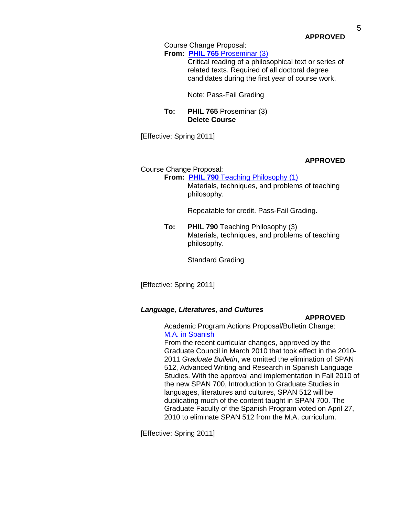**APPROVED**

Course Change Proposal:

**From: PHIL 765** [Proseminar \(3\)](http://gradschool.sc.edu/gradcouncil/curr_docs/CCPPHIL765_201041.pdf)

Critical reading of a philosophical text or series of related texts. Required of all doctoral degree candidates during the first year of course work.

Note: Pass-Fail Grading

### **To: PHIL 765** Proseminar (3) **Delete Course**

[Effective: Spring 2011]

## **APPROVED**

Course Change Proposal:

**From: PHIL 790 [Teaching Philosophy \(1\)](http://gradschool.sc.edu/gradcouncil/curr_docs/CCPPHIL790_201041.pdf)** Materials, techniques, and problems of teaching philosophy.

Repeatable for credit. Pass-Fail Grading.

**To: PHIL 790** Teaching Philosophy (3) Materials, techniques, and problems of teaching philosophy.

Standard Grading

[Effective: Spring 2011]

### *Language, Literatures, and Cultures*

#### **APPROVED**

Academic Program Actions Proposal/Bulletin Change: [M.A. in Spanish](http://gradschool.sc.edu/gradcouncil/curr_docs/APAM.A.Spanish_201041.pdf)

From the recent curricular changes, approved by the Graduate Council in March 2010 that took effect in the 2010- 2011 *Graduate Bulletin*, we omitted the elimination of SPAN 512, Advanced Writing and Research in Spanish Language Studies. With the approval and implementation in Fall 2010 of the new SPAN 700, Introduction to Graduate Studies in languages, literatures and cultures, SPAN 512 will be duplicating much of the content taught in SPAN 700. The Graduate Faculty of the Spanish Program voted on April 27, 2010 to eliminate SPAN 512 from the M.A. curriculum.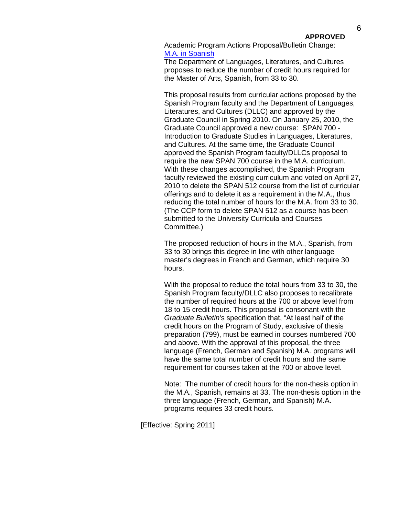Academic Program Actions Proposal/Bulletin Change: [M.A. in Spanish](http://gradschool.sc.edu/gradcouncil/curr_docs/APAM.A.Spanish2_201041.pdf)

The Department of Languages, Literatures, and Cultures proposes to reduce the number of credit hours required for the Master of Arts, Spanish, from 33 to 30.

This proposal results from curricular actions proposed by the Spanish Program faculty and the Department of Languages, Literatures, and Cultures (DLLC) and approved by the Graduate Council in Spring 2010. On January 25, 2010, the Graduate Council approved a new course: SPAN 700 - Introduction to Graduate Studies in Languages, Literatures, and Cultures. At the same time, the Graduate Council approved the Spanish Program faculty/DLLCs proposal to require the new SPAN 700 course in the M.A. curriculum. With these changes accomplished, the Spanish Program faculty reviewed the existing curriculum and voted on April 27, 2010 to delete the SPAN 512 course from the list of curricular offerings and to delete it as a requirement in the M.A., thus reducing the total number of hours for the M.A. from 33 to 30. (The CCP form to delete SPAN 512 as a course has been submitted to the University Curricula and Courses Committee.)

The proposed reduction of hours in the M.A., Spanish, from 33 to 30 brings this degree in line with other language master's degrees in French and German, which require 30 hours.

With the proposal to reduce the total hours from 33 to 30, the Spanish Program faculty/DLLC also proposes to recalibrate the number of required hours at the 700 or above level from 18 to 15 credit hours. This proposal is consonant with the *Graduate Bulletin*'s specification that, "At least half of the credit hours on the Program of Study, exclusive of thesis preparation (799), must be earned in courses numbered 700 and above. With the approval of this proposal, the three language (French, German and Spanish) M.A. programs will have the same total number of credit hours and the same requirement for courses taken at the 700 or above level.

Note: The number of credit hours for the non-thesis option in the M.A., Spanish, remains at 33. The non-thesis option in the three language (French, German, and Spanish) M.A. programs requires 33 credit hours.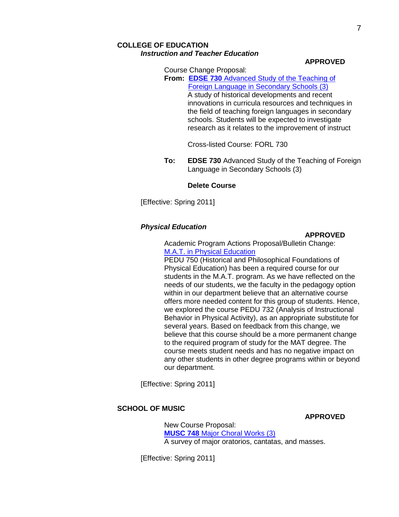# **COLLEGE OF EDUCATION** *Instruction and Teacher Education*

#### **APPROVED**

Course Change Proposal:

**From: EDSE 730** [Advanced Study of the Teaching of](http://gradschool.sc.edu/gradcouncil/curr_docs/CCPEDSE730_201041.pdf)  [Foreign Language in Secondary Schools \(3\)](http://gradschool.sc.edu/gradcouncil/curr_docs/CCPEDSE730_201041.pdf) A study of historical developments and recent innovations in curricula resources and techniques in the field of teaching foreign languages in secondary schools. Students will be expected to investigate research as it relates to the improvement of instruct

### Cross-listed Course: FORL 730

**To: EDSE 730** Advanced Study of the Teaching of Foreign Language in Secondary Schools (3)

#### **Delete Course**

[Effective: Spring 2011]

#### *Physical Education*

### **APPROVED**

Academic Program Actions Proposal/Bulletin Change: [M.A.T. in Physical Education](http://gradschool.sc.edu/gradcouncil/curr_docs/APAMATPhysicalEducation_201041.pdf)

PEDU 750 (Historical and Philosophical Foundations of Physical Education) has been a required course for our students in the M.A.T. program. As we have reflected on the needs of our students, we the faculty in the pedagogy option within in our department believe that an alternative course offers more needed content for this group of students. Hence, we explored the course PEDU 732 (Analysis of Instructional Behavior in Physical Activity), as an appropriate substitute for several years. Based on feedback from this change, we believe that this course should be a more permanent change to the required program of study for the MAT degree. The course meets student needs and has no negative impact on any other students in other degree programs within or beyond our department.

[Effective: Spring 2011]

## **SCHOOL OF MUSIC**

#### **APPROVED**

New Course Proposal: **MUSC 748** [Major Choral Works \(3\)](http://gradschool.sc.edu/gradcouncil/curr_docs/NCPMUSC748_201041.pdf) A survey of major oratorios, cantatas, and masses.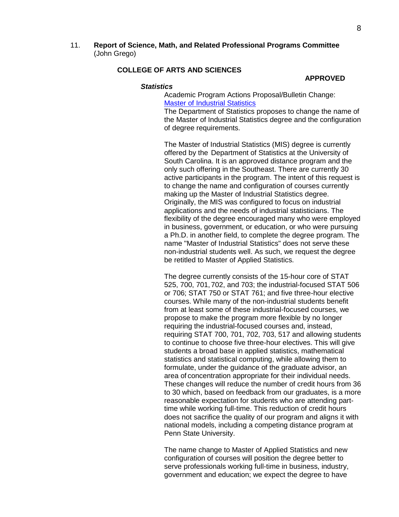11. **Report of Science, Math, and Related Professional Programs Committee** (John Grego)

# **COLLEGE OF ARTS AND SCIENCES**

#### **APPROVED**

#### *Statistics*

Academic Program Actions Proposal/Bulletin Change: [Master of Industrial Statistics](http://gradschool.sc.edu/gradcouncil/curr_docs/APAMSIndustrialStatistics_201041.pdf)

The Department of Statistics proposes to change the name of the Master of Industrial Statistics degree and the configuration of degree requirements.

The Master of Industrial Statistics (MIS) degree is currently offered by the Department of Statistics at the University of South Carolina. It is an approved distance program and the only such offering in the Southeast. There are currently 30 active participants in the program. The intent of this request is to change the name and configuration of courses currently making up the Master of Industrial Statistics degree. Originally, the MIS was configured to focus on industrial applications and the needs of industrial statisticians. The flexibility of the degree encouraged many who were employed in business, government, or education, or who were pursuing a Ph.D. in another field, to complete the degree program. The name "Master of Industrial Statistics" does not serve these non-industrial students well. As such, we request the degree be retitled to Master of Applied Statistics.

The degree currently consists of the 15-hour core of STAT 525, 700, 701, 702, and 703; the industrial-focused STAT 506 or 706; STAT 750 or STAT 761; and five three-hour elective courses. While many of the non-industrial students benefit from at least some of these industrial-focused courses, we propose to make the program more flexible by no longer requiring the industrial-focused courses and, instead, requiring STAT 700, 701, 702, 703, 517 and allowing students to continue to choose five three-hour electives. This will give students a broad base in applied statistics, mathematical statistics and statistical computing, while allowing them to formulate, under the guidance of the graduate advisor, an area of concentration appropriate for their individual needs. These changes will reduce the number of credit hours from 36 to 30 which, based on feedback from our graduates, is a more reasonable expectation for students who are attending parttime while working full-time. This reduction of credit hours does not sacrifice the quality of our program and aligns it with national models, including a competing distance program at Penn State University.

The name change to Master of Applied Statistics and new configuration of courses will position the degree better to serve professionals working full-time in business, industry, government and education; we expect the degree to have